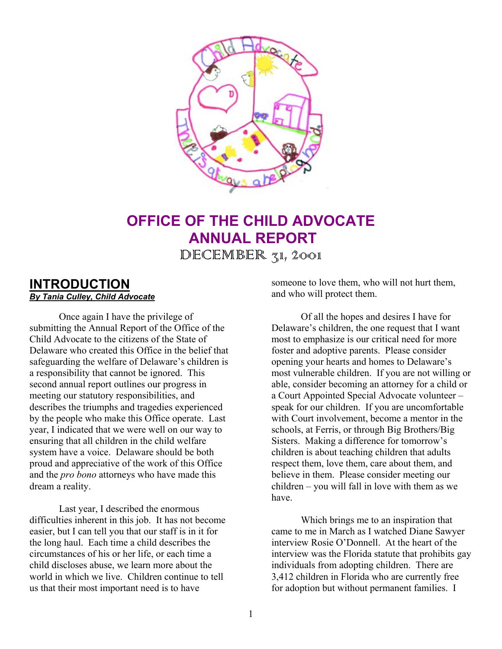

# **OFFICE OF THE CHILD ADVOCATE ANNUAL REPORT**

 $DECEMBER 31, 2001$ 

# **INTRODUCTION** *By Tania Culley, Child Advocate*

Once again I have the privilege of submitting the Annual Report of the Office of the Child Advocate to the citizens of the State of Delaware who created this Office in the belief that safeguarding the welfare of Delaware's children is a responsibility that cannot be ignored. This second annual report outlines our progress in meeting our statutory responsibilities, and describes the triumphs and tragedies experienced by the people who make this Office operate. Last year, I indicated that we were well on our way to ensuring that all children in the child welfare system have a voice. Delaware should be both proud and appreciative of the work of this Office and the *pro bono* attorneys who have made this dream a reality.

Last year, I described the enormous difficulties inherent in this job. It has not become easier, but I can tell you that our staff is in it for the long haul. Each time a child describes the circumstances of his or her life, or each time a child discloses abuse, we learn more about the world in which we live. Children continue to tell us that their most important need is to have

someone to love them, who will not hurt them, and who will protect them.

Of all the hopes and desires I have for Delaware's children, the one request that I want most to emphasize is our critical need for more foster and adoptive parents. Please consider opening your hearts and homes to Delaware's most vulnerable children. If you are not willing or able, consider becoming an attorney for a child or a Court Appointed Special Advocate volunteer – speak for our children. If you are uncomfortable with Court involvement, become a mentor in the schools, at Ferris, or through Big Brothers/Big Sisters. Making a difference for tomorrow's children is about teaching children that adults respect them, love them, care about them, and believe in them. Please consider meeting our children – you will fall in love with them as we have.

Which brings me to an inspiration that came to me in March as I watched Diane Sawyer interview Rosie O'Donnell. At the heart of the interview was the Florida statute that prohibits gay individuals from adopting children. There are 3,412 children in Florida who are currently free for adoption but without permanent families. I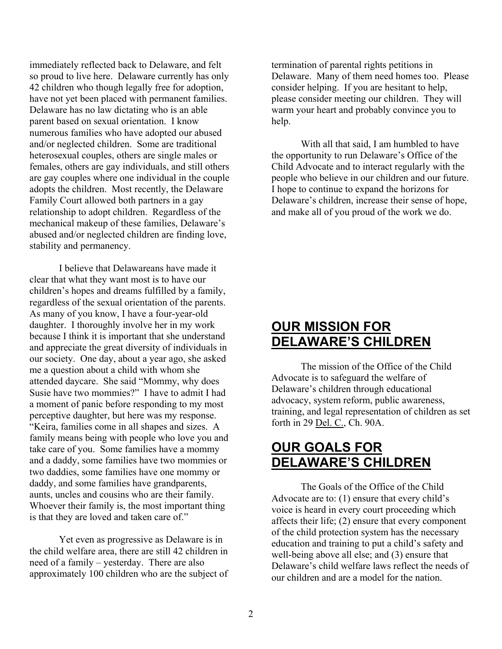immediately reflected back to Delaware, and felt so proud to live here. Delaware currently has only 42 children who though legally free for adoption, have not yet been placed with permanent families. Delaware has no law dictating who is an able parent based on sexual orientation. I know numerous families who have adopted our abused and/or neglected children. Some are traditional heterosexual couples, others are single males or females, others are gay individuals, and still others are gay couples where one individual in the couple adopts the children. Most recently, the Delaware Family Court allowed both partners in a gay relationship to adopt children. Regardless of the mechanical makeup of these families, Delaware's abused and/or neglected children are finding love, stability and permanency.

I believe that Delawareans have made it clear that what they want most is to have our children's hopes and dreams fulfilled by a family, regardless of the sexual orientation of the parents. As many of you know, I have a four-year-old daughter. I thoroughly involve her in my work because I think it is important that she understand and appreciate the great diversity of individuals in our society. One day, about a year ago, she asked me a question about a child with whom she attended daycare. She said "Mommy, why does Susie have two mommies?" I have to admit I had a moment of panic before responding to my most perceptive daughter, but here was my response. "Keira, families come in all shapes and sizes. A family means being with people who love you and take care of you. Some families have a mommy and a daddy, some families have two mommies or two daddies, some families have one mommy or daddy, and some families have grandparents, aunts, uncles and cousins who are their family. Whoever their family is, the most important thing is that they are loved and taken care of."

Yet even as progressive as Delaware is in the child welfare area, there are still 42 children in need of a family – yesterday. There are also approximately 100 children who are the subject of termination of parental rights petitions in Delaware. Many of them need homes too. Please consider helping. If you are hesitant to help, please consider meeting our children. They will warm your heart and probably convince you to help.

With all that said, I am humbled to have the opportunity to run Delaware's Office of the Child Advocate and to interact regularly with the people who believe in our children and our future. I hope to continue to expand the horizons for Delaware's children, increase their sense of hope, and make all of you proud of the work we do.

# **OUR MISSION FOR DELAWARE'S CHILDREN**

The mission of the Office of the Child Advocate is to safeguard the welfare of Delaware's children through educational advocacy, system reform, public awareness, training, and legal representation of children as set forth in 29 Del. C., Ch. 90A.

# **OUR GOALS FOR DELAWARE'S CHILDREN**

The Goals of the Office of the Child Advocate are to: (1) ensure that every child's voice is heard in every court proceeding which affects their life; (2) ensure that every component of the child protection system has the necessary education and training to put a child's safety and well-being above all else; and (3) ensure that Delaware's child welfare laws reflect the needs of our children and are a model for the nation.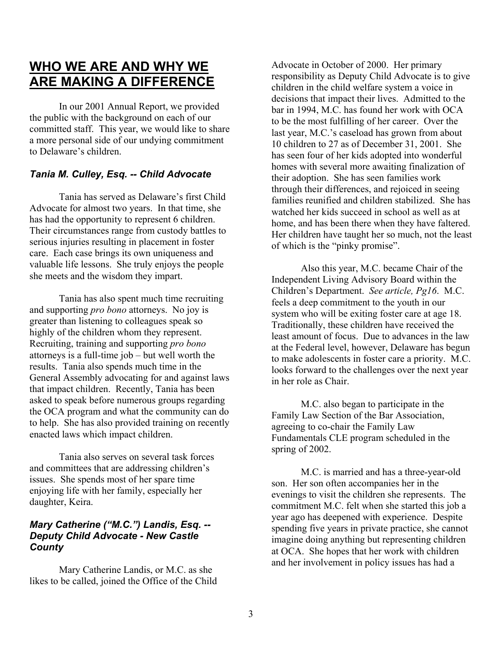# **WHO WE ARE AND WHY WE ARE MAKING A DIFFERENCE**

In our 2001 Annual Report, we provided the public with the background on each of our committed staff. This year, we would like to share a more personal side of our undying commitment to Delaware's children.

# *Tania M. Culley, Esq. -- Child Advocate*

Tania has served as Delaware's first Child Advocate for almost two years. In that time, she has had the opportunity to represent 6 children. Their circumstances range from custody battles to serious injuries resulting in placement in foster care. Each case brings its own uniqueness and valuable life lessons. She truly enjoys the people she meets and the wisdom they impart.

Tania has also spent much time recruiting and supporting *pro bono* attorneys. No joy is greater than listening to colleagues speak so highly of the children whom they represent. Recruiting, training and supporting *pro bono* attorneys is a full-time job – but well worth the results. Tania also spends much time in the General Assembly advocating for and against laws that impact children. Recently, Tania has been asked to speak before numerous groups regarding the OCA program and what the community can do to help. She has also provided training on recently enacted laws which impact children.

Tania also serves on several task forces and committees that are addressing children's issues. She spends most of her spare time enjoying life with her family, especially her daughter, Keira.

# *Mary Catherine ("M.C.") Landis, Esq. -- Deputy Child Advocate - New Castle County*

Mary Catherine Landis, or M.C. as she likes to be called, joined the Office of the Child Advocate in October of 2000. Her primary responsibility as Deputy Child Advocate is to give children in the child welfare system a voice in decisions that impact their lives. Admitted to the bar in 1994, M.C. has found her work with OCA to be the most fulfilling of her career. Over the last year, M.C.'s caseload has grown from about 10 children to 27 as of December 31, 2001. She has seen four of her kids adopted into wonderful homes with several more awaiting finalization of their adoption. She has seen families work through their differences, and rejoiced in seeing families reunified and children stabilized. She has watched her kids succeed in school as well as at home, and has been there when they have faltered. Her children have taught her so much, not the least of which is the "pinky promise".

Also this year, M.C. became Chair of the Independent Living Advisory Board within the Children's Department. *See article, Pg16*. M.C. feels a deep commitment to the youth in our system who will be exiting foster care at age 18. Traditionally, these children have received the least amount of focus. Due to advances in the law at the Federal level, however, Delaware has begun to make adolescents in foster care a priority. M.C. looks forward to the challenges over the next year in her role as Chair.

M.C. also began to participate in the Family Law Section of the Bar Association, agreeing to co-chair the Family Law Fundamentals CLE program scheduled in the spring of 2002.

M.C. is married and has a three-year-old son. Her son often accompanies her in the evenings to visit the children she represents. The commitment M.C. felt when she started this job a year ago has deepened with experience. Despite spending five years in private practice, she cannot imagine doing anything but representing children at OCA. She hopes that her work with children and her involvement in policy issues has had a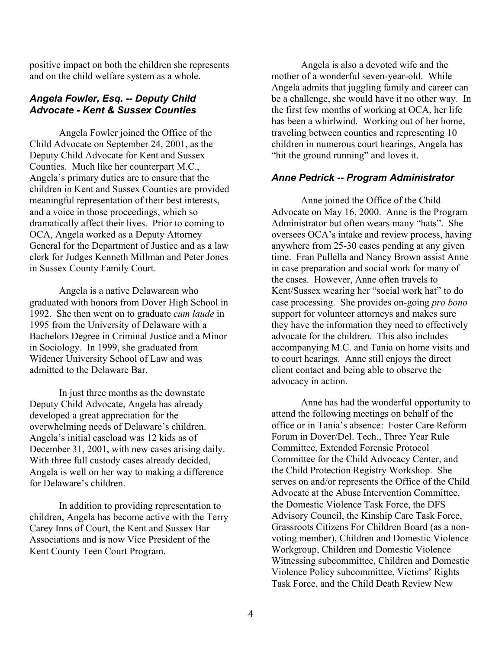positive impact on both the children she represents and on the child welfare system as a whole.

#### *Angela Fowler, Esq. -- Deputy Child Advocate - Kent & Sussex Counties*

Angela Fowler joined the Office of the Child Advocate on September 24, 2001, as the Deputy Child Advocate for Kent and Sussex Counties. Much like her counterpart M.C., Angela's primary duties are to ensure that the children in Kent and Sussex Counties are provided meaningful representation of their best interests, and a voice in those proceedings, which so dramatically affect their lives. Prior to coming to OCA, Angela worked as a Deputy Attorney General for the Department of Justice and as a law clerk for Judges Kenneth Millman and Peter Jones in Sussex County Family Court.

Angela is a native Delawarean who graduated with honors from Dover High School in 1992. She then went on to graduate *cum laude* in 1995 from the University of Delaware with a Bachelors Degree in Criminal Justice and a Minor in Sociology. In 1999, she graduated from Widener University School of Law and was admitted to the Delaware Bar.

In just three months as the downstate Deputy Child Advocate, Angela has already developed a great appreciation for the overwhelming needs of Delaware's children. Angela's initial caseload was 12 kids as of December 31, 2001, with new cases arising daily. With three full custody cases already decided, Angela is well on her way to making a difference for Delaware's children.

In addition to providing representation to children, Angela has become active with the Terry Carey Inns of Court, the Kent and Sussex Bar Associations and is now Vice President of the Kent County Teen Court Program.

Angela is also a devoted wife and the mother of a wonderful seven-year-old. While Angela admits that juggling family and career can be a challenge, she would have it no other way. In the first few months of working at OCA, her life has been a whirlwind. Working out of her home, traveling between counties and representing 10 children in numerous court hearings, Angela has "hit the ground running" and loves it.

#### *Anne Pedrick -- Program Administrator*

Anne joined the Office of the Child Advocate on May 16, 2000. Anne is the Program Administrator but often wears many "hats". She oversees OCA's intake and review process, having anywhere from 25-30 cases pending at any given time. Fran Pullella and Nancy Brown assist Anne in case preparation and social work for many of the cases. However, Anne often travels to Kent/Sussex wearing her "social work hat" to do case processing. She provides on-going *pro bono* support for volunteer attorneys and makes sure they have the information they need to effectively advocate for the children. This also includes accompanying M.C. and Tania on home visits and to court hearings. Anne still enjoys the direct client contact and being able to observe the advocacy in action.

Anne has had the wonderful opportunity to attend the following meetings on behalf of the office or in Tania's absence: Foster Care Reform Forum in Dover/Del. Tech., Three Year Rule Committee, Extended Forensic Protocol Committee for the Child Advocacy Center, and the Child Protection Registry Workshop. She serves on and/or represents the Office of the Child Advocate at the Abuse Intervention Committee, the Domestic Violence Task Force, the DFS Advisory Council, the Kinship Care Task Force, Grassroots Citizens For Children Board (as a nonvoting member), Children and Domestic Violence Workgroup, Children and Domestic Violence Witnessing subcommittee, Children and Domestic Violence Policy subcommittee, Victims' Rights Task Force, and the Child Death Review New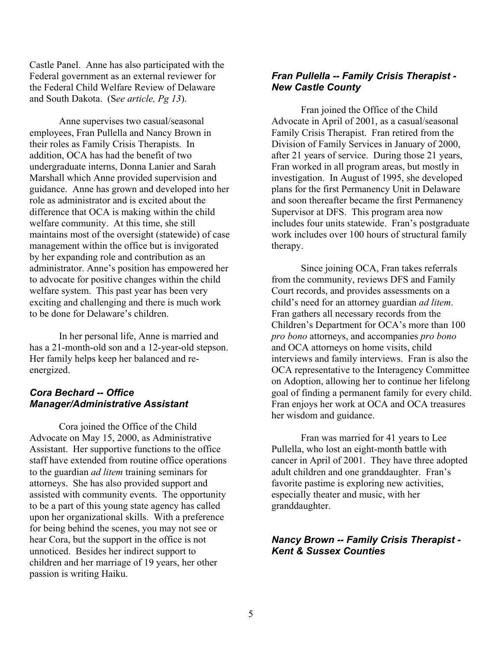Castle Panel. Anne has also participated with the Federal government as an external reviewer for the Federal Child Welfare Review of Delaware and South Dakota. (S*ee article, Pg 13*).

Anne supervises two casual/seasonal employees, Fran Pullella and Nancy Brown in their roles as Family Crisis Therapists. In addition, OCA has had the benefit of two undergraduate interns, Donna Lanier and Sarah Marshall which Anne provided supervision and guidance. Anne has grown and developed into her role as administrator and is excited about the difference that OCA is making within the child welfare community. At this time, she still maintains most of the oversight (statewide) of case management within the office but is invigorated by her expanding role and contribution as an administrator. Anne's position has empowered her to advocate for positive changes within the child welfare system. This past year has been very exciting and challenging and there is much work to be done for Delaware's children.

In her personal life, Anne is married and has a 21-month-old son and a 12-year-old stepson. Her family helps keep her balanced and reenergized.

### *Cora Bechard -- Office Manager/Administrative Assistant*

Cora joined the Office of the Child Advocate on May 15, 2000, as Administrative Assistant. Her supportive functions to the office staff have extended from routine office operations to the guardian *ad litem* training seminars for attorneys. She has also provided support and assisted with community events. The opportunity to be a part of this young state agency has called upon her organizational skills. With a preference for being behind the scenes, you may not see or hear Cora, but the support in the office is not unnoticed. Besides her indirect support to children and her marriage of 19 years, her other passion is writing Haiku.

# *Fran Pullella -- Family Crisis Therapist - New Castle County*

Fran joined the Office of the Child Advocate in April of 2001, as a casual/seasonal Family Crisis Therapist. Fran retired from the Division of Family Services in January of 2000, after 21 years of service. During those 21 years, Fran worked in all program areas, but mostly in investigation. In August of 1995, she developed plans for the first Permanency Unit in Delaware and soon thereafter became the first Permanency Supervisor at DFS. This program area now includes four units statewide. Fran's postgraduate work includes over 100 hours of structural family therapy.

Since joining OCA, Fran takes referrals from the community, reviews DFS and Family Court records, and provides assessments on a child's need for an attorney guardian *ad litem*. Fran gathers all necessary records from the Children's Department for OCA's more than 100 *pro bono* attorneys, and accompanies *pro bono* and OCA attorneys on home visits, child interviews and family interviews. Fran is also the OCA representative to the Interagency Committee on Adoption, allowing her to continue her lifelong goal of finding a permanent family for every child. Fran enjoys her work at OCA and OCA treasures her wisdom and guidance.

Fran was married for 41 years to Lee Pullella, who lost an eight-month battle with cancer in April of 2001. They have three adopted adult children and one granddaughter. Fran's favorite pastime is exploring new activities, especially theater and music, with her granddaughter.

### *Nancy Brown -- Family Crisis Therapist - Kent & Sussex Counties*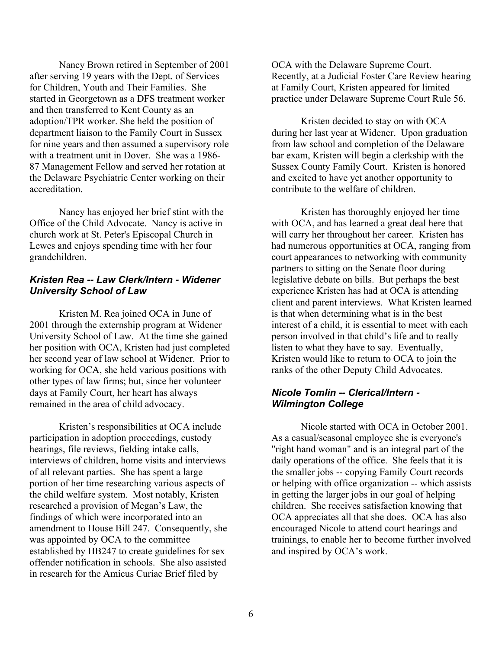Nancy Brown retired in September of 2001 after serving 19 years with the Dept. of Services for Children, Youth and Their Families. She started in Georgetown as a DFS treatment worker and then transferred to Kent County as an adoption/TPR worker. She held the position of department liaison to the Family Court in Sussex for nine years and then assumed a supervisory role with a treatment unit in Dover. She was a 1986- 87 Management Fellow and served her rotation at the Delaware Psychiatric Center working on their accreditation.

Nancy has enjoyed her brief stint with the Office of the Child Advocate. Nancy is active in church work at St. Peter's Episcopal Church in Lewes and enjoys spending time with her four grandchildren.

### *Kristen Rea -- Law Clerk/Intern - Widener University School of Law*

Kristen M. Rea joined OCA in June of 2001 through the externship program at Widener University School of Law. At the time she gained her position with OCA, Kristen had just completed her second year of law school at Widener. Prior to working for OCA, she held various positions with other types of law firms; but, since her volunteer days at Family Court, her heart has always remained in the area of child advocacy.

Kristen's responsibilities at OCA include participation in adoption proceedings, custody hearings, file reviews, fielding intake calls, interviews of children, home visits and interviews of all relevant parties. She has spent a large portion of her time researching various aspects of the child welfare system. Most notably, Kristen researched a provision of Megan's Law, the findings of which were incorporated into an amendment to House Bill 247. Consequently, she was appointed by OCA to the committee established by HB247 to create guidelines for sex offender notification in schools. She also assisted in research for the Amicus Curiae Brief filed by

OCA with the Delaware Supreme Court. Recently, at a Judicial Foster Care Review hearing at Family Court, Kristen appeared for limited practice under Delaware Supreme Court Rule 56.

Kristen decided to stay on with OCA during her last year at Widener. Upon graduation from law school and completion of the Delaware bar exam, Kristen will begin a clerkship with the Sussex County Family Court. Kristen is honored and excited to have yet another opportunity to contribute to the welfare of children.

Kristen has thoroughly enjoyed her time with OCA, and has learned a great deal here that will carry her throughout her career. Kristen has had numerous opportunities at OCA, ranging from court appearances to networking with community partners to sitting on the Senate floor during legislative debate on bills. But perhaps the best experience Kristen has had at OCA is attending client and parent interviews. What Kristen learned is that when determining what is in the best interest of a child, it is essential to meet with each person involved in that child's life and to really listen to what they have to say. Eventually, Kristen would like to return to OCA to join the ranks of the other Deputy Child Advocates.

# *Nicole Tomlin -- Clerical/Intern - Wilmington College*

Nicole started with OCA in October 2001. As a casual/seasonal employee she is everyone's "right hand woman" and is an integral part of the daily operations of the office. She feels that it is the smaller jobs -- copying Family Court records or helping with office organization -- which assists in getting the larger jobs in our goal of helping children. She receives satisfaction knowing that OCA appreciates all that she does. OCA has also encouraged Nicole to attend court hearings and trainings, to enable her to become further involved and inspired by OCA's work.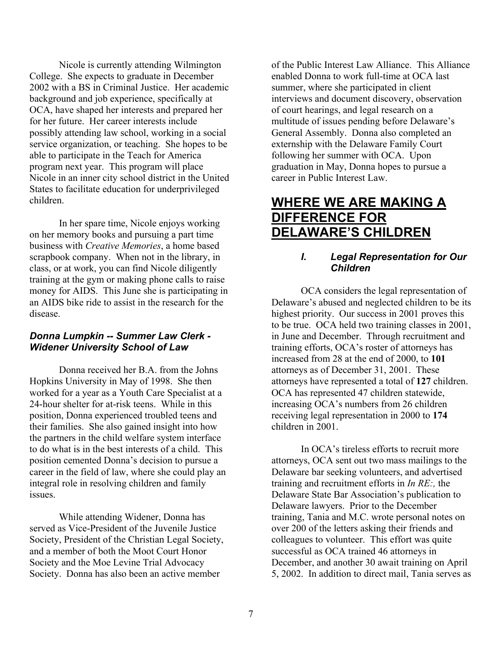Nicole is currently attending Wilmington College. She expects to graduate in December 2002 with a BS in Criminal Justice. Her academic background and job experience, specifically at OCA, have shaped her interests and prepared her for her future. Her career interests include possibly attending law school, working in a social service organization, or teaching. She hopes to be able to participate in the Teach for America program next year. This program will place Nicole in an inner city school district in the United States to facilitate education for underprivileged children.

In her spare time, Nicole enjoys working on her memory books and pursuing a part time business with *Creative Memories*, a home based scrapbook company. When not in the library, in class, or at work, you can find Nicole diligently training at the gym or making phone calls to raise money for AIDS. This June she is participating in an AIDS bike ride to assist in the research for the disease.

### *Donna Lumpkin -- Summer Law Clerk - Widener University School of Law*

Donna received her B.A. from the Johns Hopkins University in May of 1998. She then worked for a year as a Youth Care Specialist at a 24-hour shelter for at-risk teens. While in this position, Donna experienced troubled teens and their families. She also gained insight into how the partners in the child welfare system interface to do what is in the best interests of a child. This position cemented Donna's decision to pursue a career in the field of law, where she could play an integral role in resolving children and family issues.

While attending Widener, Donna has served as Vice-President of the Juvenile Justice Society, President of the Christian Legal Society, and a member of both the Moot Court Honor Society and the Moe Levine Trial Advocacy Society. Donna has also been an active member

of the Public Interest Law Alliance. This Alliance enabled Donna to work full-time at OCA last summer, where she participated in client interviews and document discovery, observation of court hearings, and legal research on a multitude of issues pending before Delaware's General Assembly. Donna also completed an externship with the Delaware Family Court following her summer with OCA. Upon graduation in May, Donna hopes to pursue a career in Public Interest Law.

# **WHERE WE ARE MAKING A DIFFERENCE FOR DELAWARE'S CHILDREN**

# *I. Legal Representation for Our Children*

OCA considers the legal representation of Delaware's abused and neglected children to be its highest priority. Our success in 2001 proves this to be true. OCA held two training classes in 2001, in June and December. Through recruitment and training efforts, OCA's roster of attorneys has increased from 28 at the end of 2000, to **101** attorneys as of December 31, 2001. These attorneys have represented a total of **127** children. OCA has represented 47 children statewide, increasing OCA's numbers from 26 children receiving legal representation in 2000 to **174** children in 2001.

In OCA's tireless efforts to recruit more attorneys, OCA sent out two mass mailings to the Delaware bar seeking volunteers, and advertised training and recruitment efforts in *In RE:,* the Delaware State Bar Association's publication to Delaware lawyers. Prior to the December training, Tania and M.C. wrote personal notes on over 200 of the letters asking their friends and colleagues to volunteer. This effort was quite successful as OCA trained 46 attorneys in December, and another 30 await training on April 5, 2002. In addition to direct mail, Tania serves as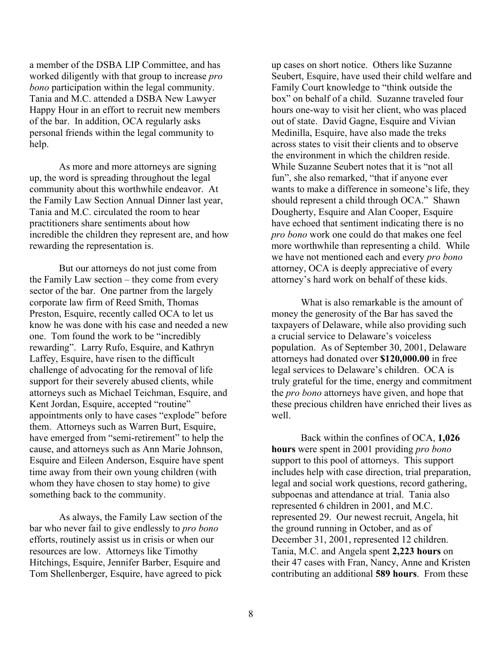a member of the DSBA LIP Committee, and has worked diligently with that group to increase *pro bono* participation within the legal community. Tania and M.C. attended a DSBA New Lawyer Happy Hour in an effort to recruit new members of the bar. In addition, OCA regularly asks personal friends within the legal community to help.

As more and more attorneys are signing up, the word is spreading throughout the legal community about this worthwhile endeavor. At the Family Law Section Annual Dinner last year, Tania and M.C. circulated the room to hear practitioners share sentiments about how incredible the children they represent are, and how rewarding the representation is.

But our attorneys do not just come from the Family Law section – they come from every sector of the bar. One partner from the largely corporate law firm of Reed Smith, Thomas Preston, Esquire, recently called OCA to let us know he was done with his case and needed a new one. Tom found the work to be "incredibly rewarding". Larry Rufo, Esquire, and Kathryn Laffey, Esquire, have risen to the difficult challenge of advocating for the removal of life support for their severely abused clients, while attorneys such as Michael Teichman, Esquire, and Kent Jordan, Esquire, accepted "routine" appointments only to have cases "explode" before them. Attorneys such as Warren Burt, Esquire, have emerged from "semi-retirement" to help the cause, and attorneys such as Ann Marie Johnson, Esquire and Eileen Anderson, Esquire have spent time away from their own young children (with whom they have chosen to stay home) to give something back to the community.

As always, the Family Law section of the bar who never fail to give endlessly to *pro bono* efforts, routinely assist us in crisis or when our resources are low. Attorneys like Timothy Hitchings, Esquire, Jennifer Barber, Esquire and Tom Shellenberger, Esquire, have agreed to pick

up cases on short notice. Others like Suzanne Seubert, Esquire, have used their child welfare and Family Court knowledge to "think outside the box" on behalf of a child. Suzanne traveled four hours one-way to visit her client, who was placed out of state. David Gagne, Esquire and Vivian Medinilla, Esquire, have also made the treks across states to visit their clients and to observe the environment in which the children reside. While Suzanne Seubert notes that it is "not all fun", she also remarked, "that if anyone ever wants to make a difference in someone's life, they should represent a child through OCA." Shawn Dougherty, Esquire and Alan Cooper, Esquire have echoed that sentiment indicating there is no *pro bono* work one could do that makes one feel more worthwhile than representing a child. While we have not mentioned each and every *pro bono* attorney, OCA is deeply appreciative of every attorney's hard work on behalf of these kids.

What is also remarkable is the amount of money the generosity of the Bar has saved the taxpayers of Delaware, while also providing such a crucial service to Delaware's voiceless population. As of September 30, 2001, Delaware attorneys had donated over **\$120,000.00** in free legal services to Delaware's children. OCA is truly grateful for the time, energy and commitment the *pro bono* attorneys have given, and hope that these precious children have enriched their lives as well.

Back within the confines of OCA, **1,026 hours** were spent in 2001 providing *pro bono* support to this pool of attorneys. This support includes help with case direction, trial preparation, legal and social work questions, record gathering, subpoenas and attendance at trial. Tania also represented 6 children in 2001, and M.C. represented 29. Our newest recruit, Angela, hit the ground running in October, and as of December 31, 2001, represented 12 children. Tania, M.C. and Angela spent **2,223 hours** on their 47 cases with Fran, Nancy, Anne and Kristen contributing an additional **589 hours**. From these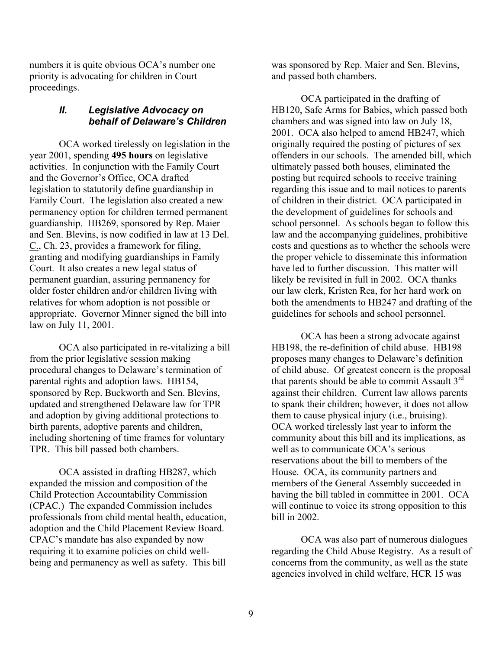numbers it is quite obvious OCA's number one priority is advocating for children in Court proceedings.

## *II. Legislative Advocacy on behalf of Delaware's Children*

OCA worked tirelessly on legislation in the year 2001, spending **495 hours** on legislative activities. In conjunction with the Family Court and the Governor's Office, OCA drafted legislation to statutorily define guardianship in Family Court. The legislation also created a new permanency option for children termed permanent guardianship. HB269, sponsored by Rep. Maier and Sen. Blevins, is now codified in law at 13 Del. C., Ch. 23, provides a framework for filing, granting and modifying guardianships in Family Court. It also creates a new legal status of permanent guardian, assuring permanency for older foster children and/or children living with relatives for whom adoption is not possible or appropriate. Governor Minner signed the bill into law on July 11, 2001.

OCA also participated in re-vitalizing a bill from the prior legislative session making procedural changes to Delaware's termination of parental rights and adoption laws. HB154, sponsored by Rep. Buckworth and Sen. Blevins, updated and strengthened Delaware law for TPR and adoption by giving additional protections to birth parents, adoptive parents and children, including shortening of time frames for voluntary TPR. This bill passed both chambers.

OCA assisted in drafting HB287, which expanded the mission and composition of the Child Protection Accountability Commission (CPAC.) The expanded Commission includes professionals from child mental health, education, adoption and the Child Placement Review Board. CPAC's mandate has also expanded by now requiring it to examine policies on child wellbeing and permanency as well as safety. This bill

was sponsored by Rep. Maier and Sen. Blevins, and passed both chambers.

OCA participated in the drafting of HB120, Safe Arms for Babies, which passed both chambers and was signed into law on July 18, 2001. OCA also helped to amend HB247, which originally required the posting of pictures of sex offenders in our schools. The amended bill, which ultimately passed both houses, eliminated the posting but required schools to receive training regarding this issue and to mail notices to parents of children in their district. OCA participated in the development of guidelines for schools and school personnel. As schools began to follow this law and the accompanying guidelines, prohibitive costs and questions as to whether the schools were the proper vehicle to disseminate this information have led to further discussion. This matter will likely be revisited in full in 2002. OCA thanks our law clerk, Kristen Rea, for her hard work on both the amendments to HB247 and drafting of the guidelines for schools and school personnel.

OCA has been a strong advocate against HB198, the re-definition of child abuse. HB198 proposes many changes to Delaware's definition of child abuse. Of greatest concern is the proposal that parents should be able to commit Assault  $3<sup>rd</sup>$ against their children. Current law allows parents to spank their children; however, it does not allow them to cause physical injury (i.e., bruising). OCA worked tirelessly last year to inform the community about this bill and its implications, as well as to communicate OCA's serious reservations about the bill to members of the House. OCA, its community partners and members of the General Assembly succeeded in having the bill tabled in committee in 2001. OCA will continue to voice its strong opposition to this bill in 2002.

OCA was also part of numerous dialogues regarding the Child Abuse Registry. As a result of concerns from the community, as well as the state agencies involved in child welfare, HCR 15 was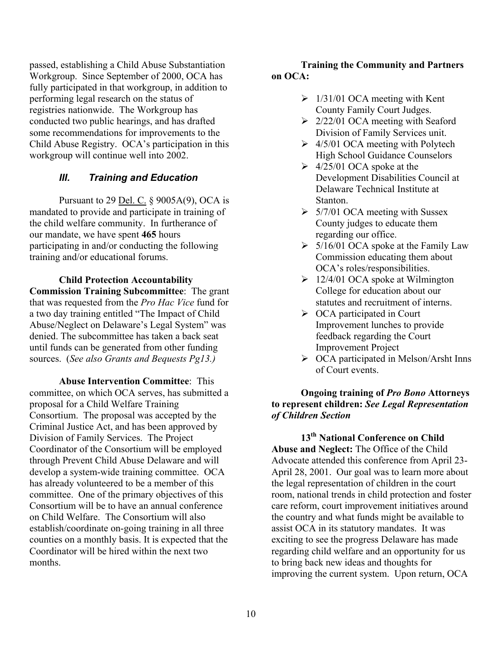passed, establishing a Child Abuse Substantiation Workgroup. Since September of 2000, OCA has fully participated in that workgroup, in addition to performing legal research on the status of registries nationwide. The Workgroup has conducted two public hearings, and has drafted some recommendations for improvements to the Child Abuse Registry. OCA's participation in this workgroup will continue well into 2002.

# *III. Training and Education*

Pursuant to 29 Del. C. § 9005A(9), OCA is mandated to provide and participate in training of the child welfare community. In furtherance of our mandate, we have spent **465** hours participating in and/or conducting the following training and/or educational forums.

**Child Protection Accountability Commission Training Subcommittee**: The grant that was requested from the *Pro Hac Vice* fund for a two day training entitled "The Impact of Child Abuse/Neglect on Delaware's Legal System" was denied. The subcommittee has taken a back seat until funds can be generated from other funding sources. (*See also Grants and Bequests Pg13.)*

**Abuse Intervention Committee**: This committee, on which OCA serves, has submitted a proposal for a Child Welfare Training Consortium. The proposal was accepted by the Criminal Justice Act, and has been approved by Division of Family Services. The Project Coordinator of the Consortium will be employed through Prevent Child Abuse Delaware and will develop a system-wide training committee. OCA has already volunteered to be a member of this committee. One of the primary objectives of this Consortium will be to have an annual conference on Child Welfare. The Consortium will also establish/coordinate on-going training in all three counties on a monthly basis. It is expected that the Coordinator will be hired within the next two months.

## **Training the Community and Partners on OCA:**

- $\geq 1/31/01$  OCA meeting with Kent County Family Court Judges.
- $\geq$  2/22/01 OCA meeting with Seaford Division of Family Services unit.
- $\geq$  4/5/01 OCA meeting with Polytech High School Guidance Counselors
- $\geq 4/25/01$  OCA spoke at the Development Disabilities Council at Delaware Technical Institute at Stanton.
- $\geq$  5/7/01 OCA meeting with Sussex County judges to educate them regarding our office.
- $\geq$  5/16/01 OCA spoke at the Family Law Commission educating them about OCA's roles/responsibilities.
- $\geq 12/4/01$  OCA spoke at Wilmington College for education about our statutes and recruitment of interns.
- $\triangleright$  OCA participated in Court Improvement lunches to provide feedback regarding the Court Improvement Project
- ¾ OCA participated in Melson/Arsht Inns of Court events.

### **Ongoing training of** *Pro Bono* **Attorneys to represent children:** *See Legal Representation of Children Section*

**13th National Conference on Child Abuse and Neglect:** The Office of the Child Advocate attended this conference from April 23- April 28, 2001. Our goal was to learn more about the legal representation of children in the court room, national trends in child protection and foster care reform, court improvement initiatives around the country and what funds might be available to assist OCA in its statutory mandates. It was exciting to see the progress Delaware has made regarding child welfare and an opportunity for us to bring back new ideas and thoughts for improving the current system. Upon return, OCA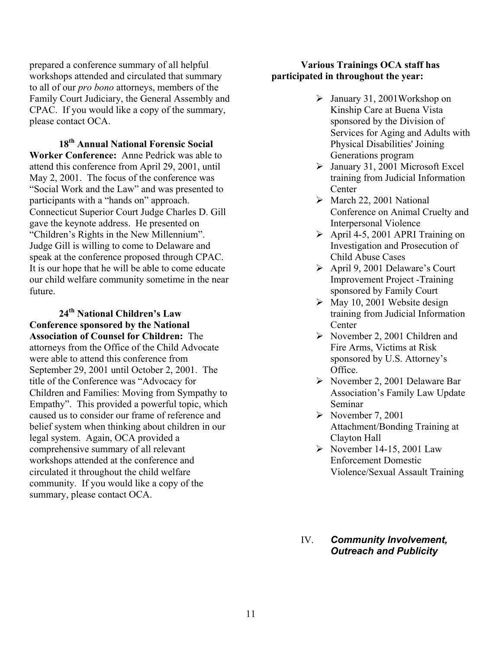prepared a conference summary of all helpful workshops attended and circulated that summary to all of our *pro bono* attorneys, members of the Family Court Judiciary, the General Assembly and CPAC. If you would like a copy of the summary, please contact OCA.

**18th Annual National Forensic Social Worker Conference:** Anne Pedrick was able to attend this conference from April 29, 2001, until May 2, 2001. The focus of the conference was "Social Work and the Law" and was presented to participants with a "hands on" approach. Connecticut Superior Court Judge Charles D. Gill gave the keynote address. He presented on "Children's Rights in the New Millennium". Judge Gill is willing to come to Delaware and speak at the conference proposed through CPAC. It is our hope that he will be able to come educate our child welfare community sometime in the near future.

**24th National Children's Law Conference sponsored by the National Association of Counsel for Children:** The attorneys from the Office of the Child Advocate were able to attend this conference from September 29, 2001 until October 2, 2001. The title of the Conference was "Advocacy for Children and Families: Moving from Sympathy to Empathy". This provided a powerful topic, which caused us to consider our frame of reference and belief system when thinking about children in our legal system. Again, OCA provided a comprehensive summary of all relevant workshops attended at the conference and circulated it throughout the child welfare community. If you would like a copy of the summary, please contact OCA.

#### **Various Trainings OCA staff has participated in throughout the year:**

- $\blacktriangleright$  January 31, 2001 Workshop on Kinship Care at Buena Vista sponsored by the Division of Services for Aging and Adults with Physical Disabilities' Joining Generations program
- $\blacktriangleright$  January 31, 2001 Microsoft Excel training from Judicial Information **Center**
- $\triangleright$  March 22, 2001 National Conference on Animal Cruelty and Interpersonal Violence
- $\triangleright$  April 4-5, 2001 APRI Training on Investigation and Prosecution of Child Abuse Cases
- ¾ April 9, 2001 Delaware's Court Improvement Project -Training sponsored by Family Court
- $\triangleright$  May 10, 2001 Website design training from Judicial Information **Center**
- $\triangleright$  November 2, 2001 Children and Fire Arms, Victims at Risk sponsored by U.S. Attorney's Office.
- $\triangleright$  November 2, 2001 Delaware Bar Association's Family Law Update Seminar
- $\triangleright$  November 7, 2001 Attachment/Bonding Training at Clayton Hall
- $\triangleright$  November 14-15, 2001 Law Enforcement Domestic Violence/Sexual Assault Training
- IV. *Community Involvement, Outreach and Publicity*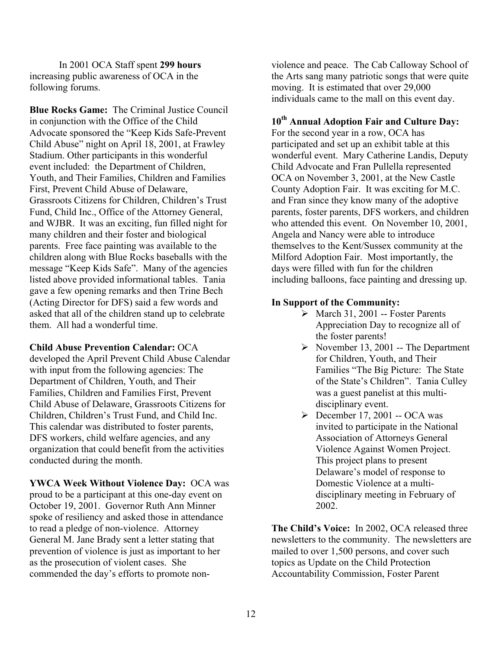In 2001 OCA Staff spent **299 hours** increasing public awareness of OCA in the following forums.

**Blue Rocks Game:** The Criminal Justice Council in conjunction with the Office of the Child Advocate sponsored the "Keep Kids Safe-Prevent Child Abuse" night on April 18, 2001, at Frawley Stadium. Other participants in this wonderful event included: the Department of Children, Youth, and Their Families, Children and Families First, Prevent Child Abuse of Delaware, Grassroots Citizens for Children, Children's Trust Fund, Child Inc., Office of the Attorney General, and WJBR. It was an exciting, fun filled night for many children and their foster and biological parents. Free face painting was available to the children along with Blue Rocks baseballs with the message "Keep Kids Safe". Many of the agencies listed above provided informational tables. Tania gave a few opening remarks and then Trine Bech (Acting Director for DFS) said a few words and asked that all of the children stand up to celebrate them. All had a wonderful time.

#### **Child Abuse Prevention Calendar:** OCA

developed the April Prevent Child Abuse Calendar with input from the following agencies: The Department of Children, Youth, and Their Families, Children and Families First, Prevent Child Abuse of Delaware, Grassroots Citizens for Children, Children's Trust Fund, and Child Inc. This calendar was distributed to foster parents, DFS workers, child welfare agencies, and any organization that could benefit from the activities conducted during the month.

**YWCA Week Without Violence Day:** OCA was proud to be a participant at this one-day event on October 19, 2001. Governor Ruth Ann Minner spoke of resiliency and asked those in attendance to read a pledge of non-violence. Attorney General M. Jane Brady sent a letter stating that prevention of violence is just as important to her as the prosecution of violent cases. She commended the day's efforts to promote nonviolence and peace. The Cab Calloway School of the Arts sang many patriotic songs that were quite moving. It is estimated that over 29,000 individuals came to the mall on this event day.

# **10th Annual Adoption Fair and Culture Day:**

For the second year in a row, OCA has participated and set up an exhibit table at this wonderful event. Mary Catherine Landis, Deputy Child Advocate and Fran Pullella represented OCA on November 3, 2001, at the New Castle County Adoption Fair. It was exciting for M.C. and Fran since they know many of the adoptive parents, foster parents, DFS workers, and children who attended this event. On November 10, 2001, Angela and Nancy were able to introduce themselves to the Kent/Sussex community at the Milford Adoption Fair. Most importantly, the days were filled with fun for the children including balloons, face painting and dressing up.

### **In Support of the Community:**

- $\triangleright$  March 31, 2001 -- Foster Parents Appreciation Day to recognize all of the foster parents!
- $\triangleright$  November 13, 2001 -- The Department for Children, Youth, and Their Families "The Big Picture: The State of the State's Children". Tania Culley was a guest panelist at this multidisciplinary event.
- $\triangleright$  December 17, 2001 -- OCA was invited to participate in the National Association of Attorneys General Violence Against Women Project. This project plans to present Delaware's model of response to Domestic Violence at a multidisciplinary meeting in February of 2002.

**The Child's Voice:** In 2002, OCA released three newsletters to the community. The newsletters are mailed to over 1,500 persons, and cover such topics as Update on the Child Protection Accountability Commission, Foster Parent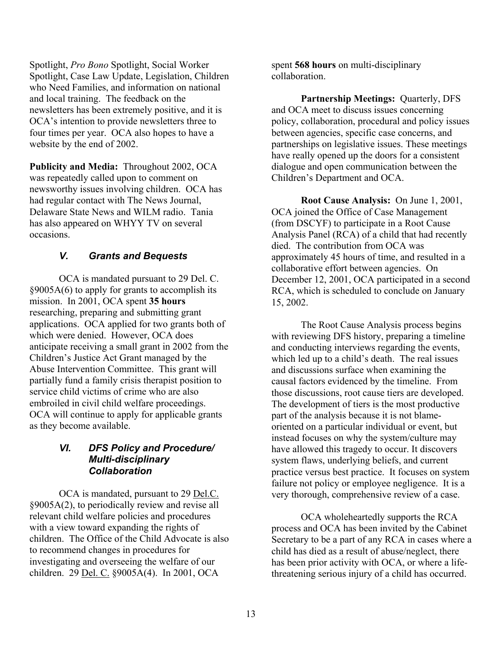Spotlight, *Pro Bono* Spotlight, Social Worker Spotlight, Case Law Update, Legislation, Children who Need Families, and information on national and local training. The feedback on the newsletters has been extremely positive, and it is OCA's intention to provide newsletters three to four times per year. OCA also hopes to have a website by the end of 2002.

**Publicity and Media:** Throughout 2002, OCA was repeatedly called upon to comment on newsworthy issues involving children. OCA has had regular contact with The News Journal, Delaware State News and WILM radio. Tania has also appeared on WHYY TV on several occasions.

# *V. Grants and Bequests*

OCA is mandated pursuant to 29 Del. C. §9005A(6) to apply for grants to accomplish its mission. In 2001, OCA spent **35 hours** researching, preparing and submitting grant applications. OCA applied for two grants both of which were denied. However, OCA does anticipate receiving a small grant in 2002 from the Children's Justice Act Grant managed by the Abuse Intervention Committee. This grant will partially fund a family crisis therapist position to service child victims of crime who are also embroiled in civil child welfare proceedings. OCA will continue to apply for applicable grants as they become available.

# *VI. DFS Policy and Procedure/ Multi-disciplinary Collaboration*

OCA is mandated, pursuant to 29 Del.C. §9005A(2), to periodically review and revise all relevant child welfare policies and procedures with a view toward expanding the rights of children. The Office of the Child Advocate is also to recommend changes in procedures for investigating and overseeing the welfare of our children. 29 Del. C. §9005A(4). In 2001, OCA

spent **568 hours** on multi-disciplinary collaboration.

**Partnership Meetings:** Quarterly, DFS and OCA meet to discuss issues concerning policy, collaboration, procedural and policy issues between agencies, specific case concerns, and partnerships on legislative issues. These meetings have really opened up the doors for a consistent dialogue and open communication between the Children's Department and OCA.

**Root Cause Analysis:** On June 1, 2001, OCA joined the Office of Case Management (from DSCYF) to participate in a Root Cause Analysis Panel (RCA) of a child that had recently died. The contribution from OCA was approximately 45 hours of time, and resulted in a collaborative effort between agencies. On December 12, 2001, OCA participated in a second RCA, which is scheduled to conclude on January 15, 2002.

The Root Cause Analysis process begins with reviewing DFS history, preparing a timeline and conducting interviews regarding the events, which led up to a child's death. The real issues and discussions surface when examining the causal factors evidenced by the timeline. From those discussions, root cause tiers are developed. The development of tiers is the most productive part of the analysis because it is not blameoriented on a particular individual or event, but instead focuses on why the system/culture may have allowed this tragedy to occur. It discovers system flaws, underlying beliefs, and current practice versus best practice. It focuses on system failure not policy or employee negligence. It is a very thorough, comprehensive review of a case.

OCA wholeheartedly supports the RCA process and OCA has been invited by the Cabinet Secretary to be a part of any RCA in cases where a child has died as a result of abuse/neglect, there has been prior activity with OCA, or where a lifethreatening serious injury of a child has occurred.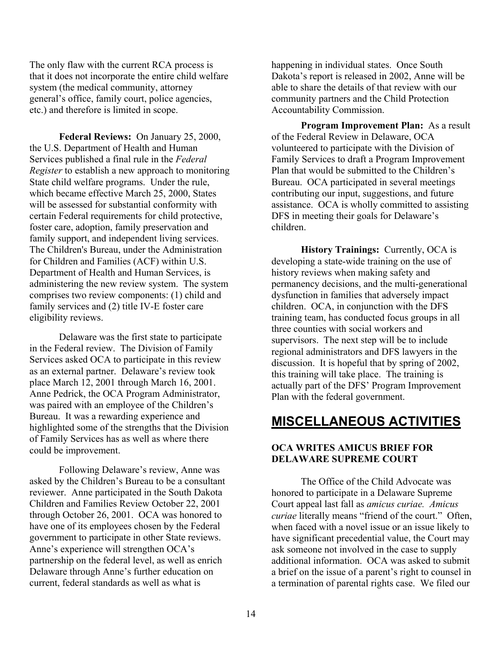The only flaw with the current RCA process is that it does not incorporate the entire child welfare system (the medical community, attorney general's office, family court, police agencies, etc.) and therefore is limited in scope.

**Federal Reviews:** On January 25, 2000, the U.S. Department of Health and Human Services published a final rule in the *Federal Register* to establish a new approach to monitoring State child welfare programs. Under the rule, which became effective March 25, 2000, States will be assessed for substantial conformity with certain Federal requirements for child protective, foster care, adoption, family preservation and family support, and independent living services. The Children's Bureau, under the Administration for Children and Families (ACF) within U.S. Department of Health and Human Services, is administering the new review system. The system comprises two review components: (1) child and family services and (2) title IV-E foster care eligibility reviews.

Delaware was the first state to participate in the Federal review. The Division of Family Services asked OCA to participate in this review as an external partner. Delaware's review took place March 12, 2001 through March 16, 2001. Anne Pedrick, the OCA Program Administrator, was paired with an employee of the Children's Bureau. It was a rewarding experience and highlighted some of the strengths that the Division of Family Services has as well as where there could be improvement.

Following Delaware's review, Anne was asked by the Children's Bureau to be a consultant reviewer. Anne participated in the South Dakota Children and Families Review October 22, 2001 through October 26, 2001. OCA was honored to have one of its employees chosen by the Federal government to participate in other State reviews. Anne's experience will strengthen OCA's partnership on the federal level, as well as enrich Delaware through Anne's further education on current, federal standards as well as what is

happening in individual states. Once South Dakota's report is released in 2002, Anne will be able to share the details of that review with our community partners and the Child Protection Accountability Commission.

**Program Improvement Plan:** As a result of the Federal Review in Delaware, OCA volunteered to participate with the Division of Family Services to draft a Program Improvement Plan that would be submitted to the Children's Bureau. OCA participated in several meetings contributing our input, suggestions, and future assistance. OCA is wholly committed to assisting DFS in meeting their goals for Delaware's children.

**History Trainings:** Currently, OCA is developing a state-wide training on the use of history reviews when making safety and permanency decisions, and the multi-generational dysfunction in families that adversely impact children. OCA, in conjunction with the DFS training team, has conducted focus groups in all three counties with social workers and supervisors. The next step will be to include regional administrators and DFS lawyers in the discussion. It is hopeful that by spring of 2002, this training will take place. The training is actually part of the DFS' Program Improvement Plan with the federal government.

# **MISCELLANEOUS ACTIVITIES**

### **OCA WRITES AMICUS BRIEF FOR DELAWARE SUPREME COURT**

The Office of the Child Advocate was honored to participate in a Delaware Supreme Court appeal last fall as *amicus curiae. Amicus curiae* literally means "friend of the court." Often, when faced with a novel issue or an issue likely to have significant precedential value, the Court may ask someone not involved in the case to supply additional information. OCA was asked to submit a brief on the issue of a parent's right to counsel in a termination of parental rights case. We filed our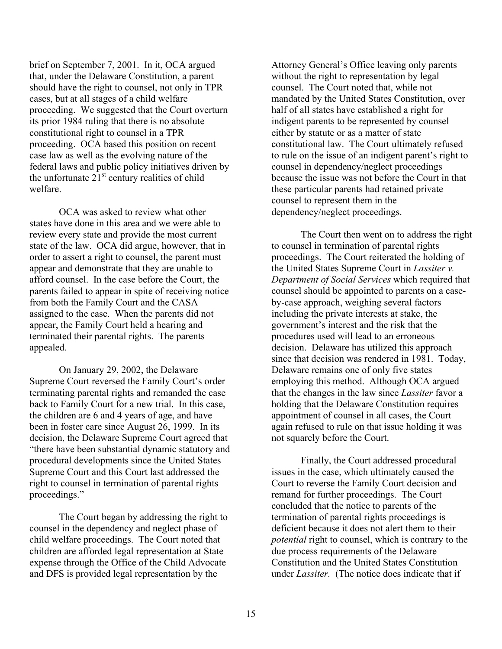brief on September 7, 2001. In it, OCA argued that, under the Delaware Constitution, a parent should have the right to counsel, not only in TPR cases, but at all stages of a child welfare proceeding. We suggested that the Court overturn its prior 1984 ruling that there is no absolute constitutional right to counsel in a TPR proceeding. OCA based this position on recent case law as well as the evolving nature of the federal laws and public policy initiatives driven by the unfortunate  $21<sup>st</sup>$  century realities of child welfare.

OCA was asked to review what other states have done in this area and we were able to review every state and provide the most current state of the law. OCA did argue, however, that in order to assert a right to counsel, the parent must appear and demonstrate that they are unable to afford counsel. In the case before the Court, the parents failed to appear in spite of receiving notice from both the Family Court and the CASA assigned to the case. When the parents did not appear, the Family Court held a hearing and terminated their parental rights. The parents appealed.

On January 29, 2002, the Delaware Supreme Court reversed the Family Court's order terminating parental rights and remanded the case back to Family Court for a new trial. In this case, the children are 6 and 4 years of age, and have been in foster care since August 26, 1999. In its decision, the Delaware Supreme Court agreed that "there have been substantial dynamic statutory and procedural developments since the United States Supreme Court and this Court last addressed the right to counsel in termination of parental rights proceedings."

The Court began by addressing the right to counsel in the dependency and neglect phase of child welfare proceedings. The Court noted that children are afforded legal representation at State expense through the Office of the Child Advocate and DFS is provided legal representation by the

Attorney General's Office leaving only parents without the right to representation by legal counsel. The Court noted that, while not mandated by the United States Constitution, over half of all states have established a right for indigent parents to be represented by counsel either by statute or as a matter of state constitutional law. The Court ultimately refused to rule on the issue of an indigent parent's right to counsel in dependency/neglect proceedings because the issue was not before the Court in that these particular parents had retained private counsel to represent them in the dependency/neglect proceedings.

The Court then went on to address the right to counsel in termination of parental rights proceedings. The Court reiterated the holding of the United States Supreme Court in *Lassiter v. Department of Social Services* which required that counsel should be appointed to parents on a caseby-case approach, weighing several factors including the private interests at stake, the government's interest and the risk that the procedures used will lead to an erroneous decision. Delaware has utilized this approach since that decision was rendered in 1981. Today, Delaware remains one of only five states employing this method. Although OCA argued that the changes in the law since *Lassiter* favor a holding that the Delaware Constitution requires appointment of counsel in all cases, the Court again refused to rule on that issue holding it was not squarely before the Court.

Finally, the Court addressed procedural issues in the case, which ultimately caused the Court to reverse the Family Court decision and remand for further proceedings. The Court concluded that the notice to parents of the termination of parental rights proceedings is deficient because it does not alert them to their *potential* right to counsel, which is contrary to the due process requirements of the Delaware Constitution and the United States Constitution under *Lassiter.* (The notice does indicate that if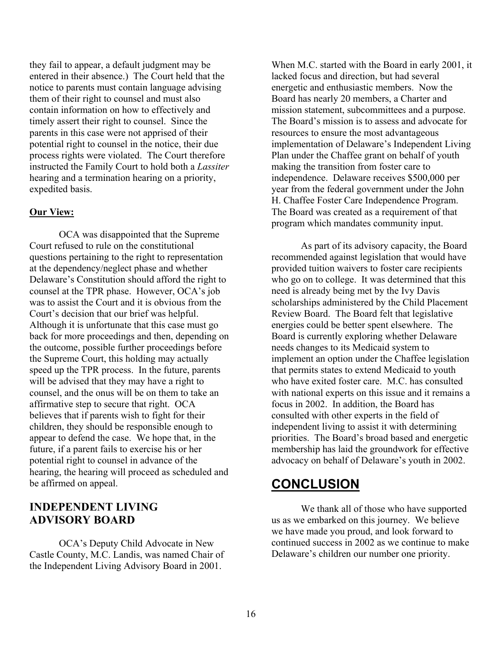they fail to appear, a default judgment may be entered in their absence.) The Court held that the notice to parents must contain language advising them of their right to counsel and must also contain information on how to effectively and timely assert their right to counsel. Since the parents in this case were not apprised of their potential right to counsel in the notice, their due process rights were violated. The Court therefore instructed the Family Court to hold both a *Lassiter* hearing and a termination hearing on a priority, expedited basis.

### **Our View:**

OCA was disappointed that the Supreme Court refused to rule on the constitutional questions pertaining to the right to representation at the dependency/neglect phase and whether Delaware's Constitution should afford the right to counsel at the TPR phase. However, OCA's job was to assist the Court and it is obvious from the Court's decision that our brief was helpful. Although it is unfortunate that this case must go back for more proceedings and then, depending on the outcome, possible further proceedings before the Supreme Court, this holding may actually speed up the TPR process. In the future, parents will be advised that they may have a right to counsel, and the onus will be on them to take an affirmative step to secure that right. OCA believes that if parents wish to fight for their children, they should be responsible enough to appear to defend the case. We hope that, in the future, if a parent fails to exercise his or her potential right to counsel in advance of the hearing, the hearing will proceed as scheduled and be affirmed on appeal.

# **INDEPENDENT LIVING ADVISORY BOARD**

OCA's Deputy Child Advocate in New Castle County, M.C. Landis, was named Chair of the Independent Living Advisory Board in 2001.

When M.C. started with the Board in early 2001, it lacked focus and direction, but had several energetic and enthusiastic members. Now the Board has nearly 20 members, a Charter and mission statement, subcommittees and a purpose. The Board's mission is to assess and advocate for resources to ensure the most advantageous implementation of Delaware's Independent Living Plan under the Chaffee grant on behalf of youth making the transition from foster care to independence. Delaware receives \$500,000 per year from the federal government under the John H. Chaffee Foster Care Independence Program. The Board was created as a requirement of that program which mandates community input.

As part of its advisory capacity, the Board recommended against legislation that would have provided tuition waivers to foster care recipients who go on to college. It was determined that this need is already being met by the Ivy Davis scholarships administered by the Child Placement Review Board. The Board felt that legislative energies could be better spent elsewhere. The Board is currently exploring whether Delaware needs changes to its Medicaid system to implement an option under the Chaffee legislation that permits states to extend Medicaid to youth who have exited foster care. M.C. has consulted with national experts on this issue and it remains a focus in 2002. In addition, the Board has consulted with other experts in the field of independent living to assist it with determining priorities. The Board's broad based and energetic membership has laid the groundwork for effective advocacy on behalf of Delaware's youth in 2002.

# **CONCLUSION**

We thank all of those who have supported us as we embarked on this journey. We believe we have made you proud, and look forward to continued success in 2002 as we continue to make Delaware's children our number one priority.